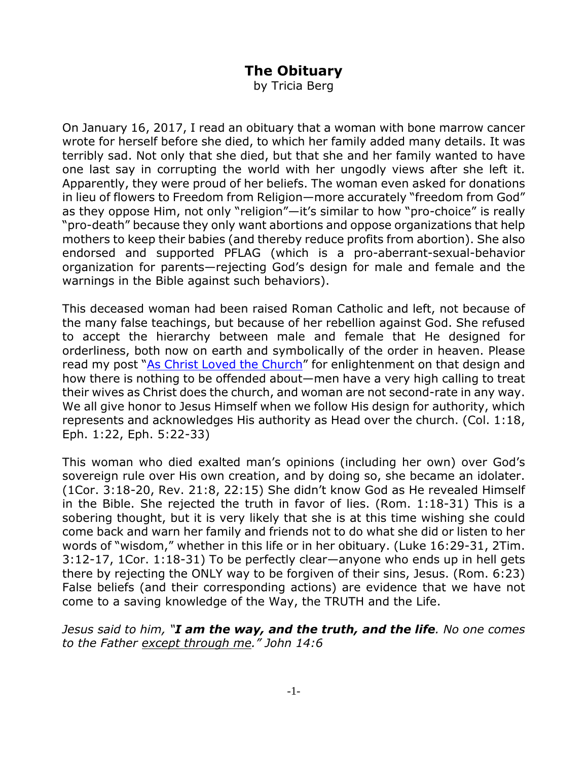## **The Obituary**

by Tricia Berg

On January 16, 2017, I read an obituary that a woman with bone marrow cancer wrote for herself before she died, to which her family added many details. It was terribly sad. Not only that she died, but that she and her family wanted to have one last say in corrupting the world with her ungodly views after she left it. Apparently, they were proud of her beliefs. The woman even asked for donations in lieu of flowers to Freedom from Religion—more accurately "freedom from God" as they oppose Him, not only "religion"—it's similar to how "pro-choice" is really "pro-death" because they only want abortions and oppose organizations that help mothers to keep their babies (and thereby reduce profits from abortion). She also endorsed and supported PFLAG (which is a pro-aberrant-sexual-behavior organization for parents—rejecting God's design for male and female and the warnings in the Bible against such behaviors).

This deceased woman had been raised Roman Catholic and left, not because of the many false teachings, but because of her rebellion against God. She refused to accept the hierarchy between male and female that He designed for orderliness, both now on earth and symbolically of the order in heaven. Please read my post "As Christ Loved the Church" for enlightenment on that design and how there is nothing to be offended about—men have a very high calling to treat their wives as Christ does the church, and woman are not second-rate in any way. We all give honor to Jesus Himself when we follow His design for authority, which represents and acknowledges His authority as Head over the church. (Col. 1:18, Eph. 1:22, Eph. 5:22-33)

This woman who died exalted man's opinions (including her own) over God's sovereign rule over His own creation, and by doing so, she became an idolater. (1Cor. 3:18-20, Rev. 21:8, 22:15) She didn't know God as He revealed Himself in the Bible. She rejected the truth in favor of lies. (Rom. 1:18-31) This is a sobering thought, but it is very likely that she is at this time wishing she could come back and warn her family and friends not to do what she did or listen to her words of "wisdom," whether in this life or in her obituary. (Luke 16:29-31, 2Tim. 3:12-17, 1Cor. 1:18-31) To be perfectly clear—anyone who ends up in hell gets there by rejecting the ONLY way to be forgiven of their sins, Jesus. (Rom. 6:23) False beliefs (and their corresponding actions) are evidence that we have not come to a saving knowledge of the Way, the TRUTH and the Life.

*Jesus said to him, "I am the way, and the truth, and the life. No one comes to the Father except through me." John 14:6*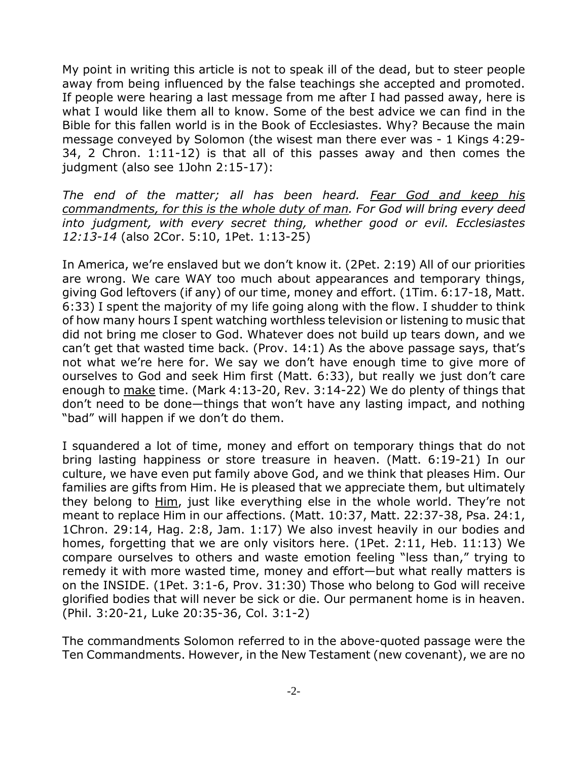My point in writing this article is not to speak ill of the dead, but to steer people away from being influenced by the false teachings she accepted and promoted. If people were hearing a last message from me after I had passed away, here is what I would like them all to know. Some of the best advice we can find in the Bible for this fallen world is in the Book of Ecclesiastes. Why? Because the main message conveyed by Solomon (the wisest man there ever was - 1 Kings 4:29- 34, 2 Chron. 1:11-12) is that all of this passes away and then comes the judgment (also see 1John 2:15-17):

*The end of the matter; all has been heard. Fear God and keep his commandments, for this is the whole duty of man. For God will bring every deed into judgment, with every secret thing, whether good or evil. Ecclesiastes 12:13-14* (also 2Cor. 5:10, 1Pet. 1:13-25)

In America, we're enslaved but we don't know it. (2Pet. 2:19) All of our priorities are wrong. We care WAY too much about appearances and temporary things, giving God leftovers (if any) of our time, money and effort. (1Tim. 6:17-18, Matt. 6:33) I spent the majority of my life going along with the flow. I shudder to think of how many hours I spent watching worthless television or listening to music that did not bring me closer to God. Whatever does not build up tears down, and we can't get that wasted time back. (Prov. 14:1) As the above passage says, that's not what we're here for. We say we don't have enough time to give more of ourselves to God and seek Him first (Matt. 6:33), but really we just don't care enough to make time. (Mark 4:13-20, Rev. 3:14-22) We do plenty of things that don't need to be done—things that won't have any lasting impact, and nothing "bad" will happen if we don't do them.

I squandered a lot of time, money and effort on temporary things that do not bring lasting happiness or store treasure in heaven. (Matt. 6:19-21) In our culture, we have even put family above God, and we think that pleases Him. Our families are gifts from Him. He is pleased that we appreciate them, but ultimately they belong to Him, just like everything else in the whole world. They're not meant to replace Him in our affections. (Matt. 10:37, Matt. 22:37-38, Psa. 24:1, 1Chron. 29:14, Hag. 2:8, Jam. 1:17) We also invest heavily in our bodies and homes, forgetting that we are only visitors here. (1Pet. 2:11, Heb. 11:13) We compare ourselves to others and waste emotion feeling "less than," trying to remedy it with more wasted time, money and effort—but what really matters is on the INSIDE. (1Pet. 3:1-6, Prov. 31:30) Those who belong to God will receive glorified bodies that will never be sick or die. Our permanent home is in heaven. (Phil. 3:20-21, Luke 20:35-36, Col. 3:1-2)

The commandments Solomon referred to in the above-quoted passage were the Ten Commandments. However, in the New Testament (new covenant), we are no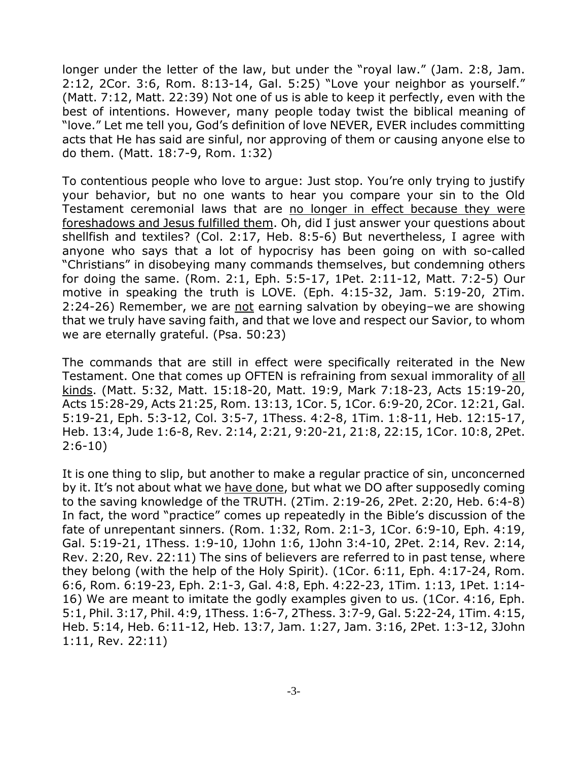longer under the letter of the law, but under the "royal law." (Jam. 2:8, Jam. 2:12, 2Cor. 3:6, Rom. 8:13-14, Gal. 5:25) "Love your neighbor as yourself." (Matt. 7:12, Matt. 22:39) Not one of us is able to keep it perfectly, even with the best of intentions. However, many people today twist the biblical meaning of "love." Let me tell you, God's definition of love NEVER, EVER includes committing acts that He has said are sinful, nor approving of them or causing anyone else to do them. (Matt. 18:7-9, Rom. 1:32)

To contentious people who love to argue: Just stop. You're only trying to justify your behavior, but no one wants to hear you compare your sin to the Old Testament ceremonial laws that are no longer in effect because they were foreshadows and Jesus fulfilled them. Oh, did I just answer your questions about shellfish and textiles? (Col. 2:17, Heb. 8:5-6) But nevertheless, I agree with anyone who says that a lot of hypocrisy has been going on with so-called "Christians" in disobeying many commands themselves, but condemning others for doing the same. (Rom. 2:1, Eph. 5:5-17, 1Pet. 2:11-12, Matt. 7:2-5) Our motive in speaking the truth is LOVE. (Eph. 4:15-32, Jam. 5:19-20, 2Tim. 2:24-26) Remember, we are not earning salvation by obeying-we are showing that we truly have saving faith, and that we love and respect our Savior, to whom we are eternally grateful. (Psa. 50:23)

The commands that are still in effect were specifically reiterated in the New Testament. One that comes up OFTEN is refraining from sexual immorality of all kinds. (Matt. 5:32, Matt. 15:18-20, Matt. 19:9, Mark 7:18-23, Acts 15:19-20, Acts 15:28-29, Acts 21:25, Rom. 13:13, 1Cor. 5, 1Cor. 6:9-20, 2Cor. 12:21, Gal. 5:19-21, Eph. 5:3-12, Col. 3:5-7, 1Thess. 4:2-8, 1Tim. 1:8-11, Heb. 12:15-17, Heb. 13:4, Jude 1:6-8, Rev. 2:14, 2:21, 9:20-21, 21:8, 22:15, 1Cor. 10:8, 2Pet. 2:6-10)

It is one thing to slip, but another to make a regular practice of sin, unconcerned by it. It's not about what we have done, but what we DO after supposedly coming to the saving knowledge of the TRUTH. (2Tim. 2:19-26, 2Pet. 2:20, Heb. 6:4-8) In fact, the word "practice" comes up repeatedly in the Bible's discussion of the fate of unrepentant sinners. (Rom. 1:32, Rom. 2:1-3, 1Cor. 6:9-10, Eph. 4:19, Gal. 5:19-21, 1Thess. 1:9-10, 1John 1:6, 1John 3:4-10, 2Pet. 2:14, Rev. 2:14, Rev. 2:20, Rev. 22:11) The sins of believers are referred to in past tense, where they belong (with the help of the Holy Spirit). (1Cor. 6:11, Eph. 4:17-24, Rom. 6:6, Rom. 6:19-23, Eph. 2:1-3, Gal. 4:8, Eph. 4:22-23, 1Tim. 1:13, 1Pet. 1:14- 16) We are meant to imitate the godly examples given to us. (1Cor. 4:16, Eph. 5:1, Phil. 3:17, Phil. 4:9, 1Thess. 1:6-7, 2Thess. 3:7-9, Gal. 5:22-24, 1Tim. 4:15, Heb. 5:14, Heb. 6:11-12, Heb. 13:7, Jam. 1:27, Jam. 3:16, 2Pet. 1:3-12, 3John 1:11, Rev. 22:11)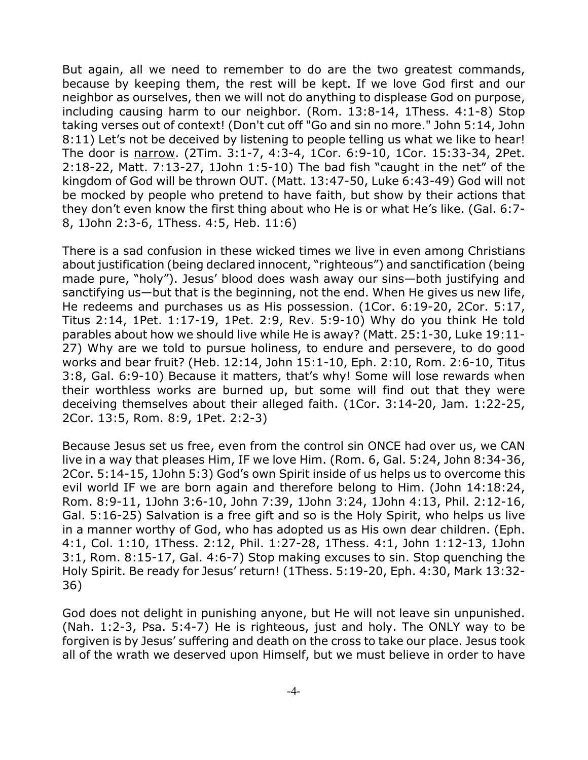But again, all we need to remember to do are the two greatest commands, because by keeping them, the rest will be kept. If we love God first and our neighbor as ourselves, then we will not do anything to displease God on purpose, including causing harm to our neighbor. (Rom. 13:8-14, 1Thess. 4:1-8) Stop taking verses out of context! (Don't cut off "Go and sin no more." John 5:14, John 8:11) Let's not be deceived by listening to people telling us what we like to hear! The door is narrow. (2Tim. 3:1-7, 4:3-4, 1Cor. 6:9-10, 1Cor. 15:33-34, 2Pet. 2:18-22, Matt. 7:13-27, 1John 1:5-10) The bad fish "caught in the net" of the kingdom of God will be thrown OUT. (Matt. 13:47-50, Luke 6:43-49) God will not be mocked by people who pretend to have faith, but show by their actions that they don't even know the first thing about who He is or what He's like. (Gal. 6:7- 8, 1John 2:3-6, 1Thess. 4:5, Heb. 11:6)

There is a sad confusion in these wicked times we live in even among Christians about justification (being declared innocent, "righteous") and sanctification (being made pure, "holy"). Jesus' blood does wash away our sins—both justifying and sanctifying us—but that is the beginning, not the end. When He gives us new life, He redeems and purchases us as His possession. (1Cor. 6:19-20, 2Cor. 5:17, Titus 2:14, 1Pet. 1:17-19, 1Pet. 2:9, Rev. 5:9-10) Why do you think He told parables about how we should live while He is away? (Matt. 25:1-30, Luke 19:11- 27) Why are we told to pursue holiness, to endure and persevere, to do good works and bear fruit? (Heb. 12:14, John 15:1-10, Eph. 2:10, Rom. 2:6-10, Titus 3:8, Gal. 6:9-10) Because it matters, that's why! Some will lose rewards when their worthless works are burned up, but some will find out that they were deceiving themselves about their alleged faith. (1Cor. 3:14-20, Jam. 1:22-25, 2Cor. 13:5, Rom. 8:9, 1Pet. 2:2-3)

Because Jesus set us free, even from the control sin ONCE had over us, we CAN live in a way that pleases Him, IF we love Him. (Rom. 6, Gal. 5:24, John 8:34-36, 2Cor. 5:14-15, 1John 5:3) God's own Spirit inside of us helps us to overcome this evil world IF we are born again and therefore belong to Him. (John 14:18:24, Rom. 8:9-11, 1John 3:6-10, John 7:39, 1John 3:24, 1John 4:13, Phil. 2:12-16, Gal. 5:16-25) Salvation is a free gift and so is the Holy Spirit, who helps us live in a manner worthy of God, who has adopted us as His own dear children. (Eph. 4:1, Col. 1:10, 1Thess. 2:12, Phil. 1:27-28, 1Thess. 4:1, John 1:12-13, 1John 3:1, Rom. 8:15-17, Gal. 4:6-7) Stop making excuses to sin. Stop quenching the Holy Spirit. Be ready for Jesus' return! (1Thess. 5:19-20, Eph. 4:30, Mark 13:32- 36)

God does not delight in punishing anyone, but He will not leave sin unpunished. (Nah. 1:2-3, Psa. 5:4-7) He is righteous, just and holy. The ONLY way to be forgiven is by Jesus' suffering and death on the cross to take our place. Jesus took all of the wrath we deserved upon Himself, but we must believe in order to have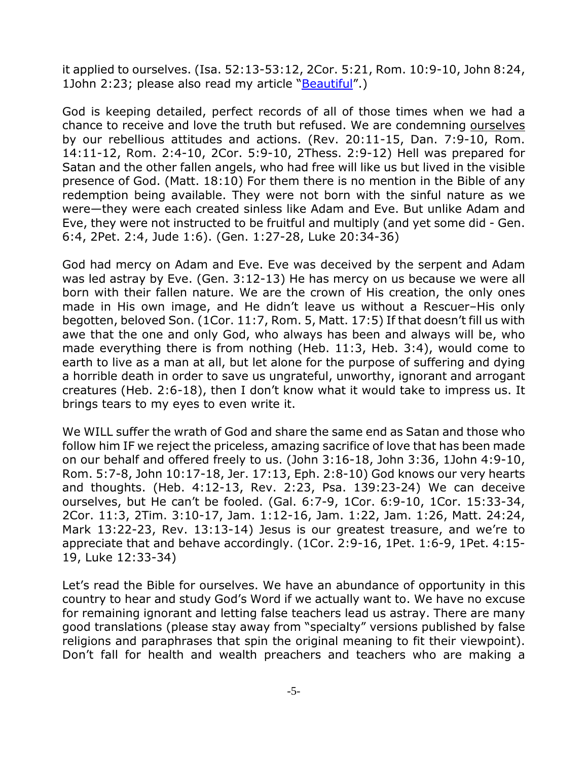it applied to ourselves. (Isa. 52:13-53:12, 2Cor. 5:21, Rom. 10:9-10, John 8:24, 1John 2:23; please also read my article "Beautiful".)

God is keeping detailed, perfect records of all of those times when we had a chance to receive and love the truth but refused. We are condemning ourselves by our rebellious attitudes and actions. (Rev. 20:11-15, Dan. 7:9-10, Rom. 14:11-12, Rom. 2:4-10, 2Cor. 5:9-10, 2Thess. 2:9-12) Hell was prepared for Satan and the other fallen angels, who had free will like us but lived in the visible presence of God. (Matt. 18:10) For them there is no mention in the Bible of any redemption being available. They were not born with the sinful nature as we were—they were each created sinless like Adam and Eve. But unlike Adam and Eve, they were not instructed to be fruitful and multiply (and yet some did - Gen. 6:4, 2Pet. 2:4, Jude 1:6). (Gen. 1:27-28, Luke 20:34-36)

God had mercy on Adam and Eve. Eve was deceived by the serpent and Adam was led astray by Eve. (Gen. 3:12-13) He has mercy on us because we were all born with their fallen nature. We are the crown of His creation, the only ones made in His own image, and He didn't leave us without a Rescuer–His only begotten, beloved Son. (1Cor. 11:7, Rom. 5, Matt. 17:5) If that doesn't fill us with awe that the one and only God, who always has been and always will be, who made everything there is from nothing (Heb. 11:3, Heb. 3:4), would come to earth to live as a man at all, but let alone for the purpose of suffering and dying a horrible death in order to save us ungrateful, unworthy, ignorant and arrogant creatures (Heb. 2:6-18), then I don't know what it would take to impress us. It brings tears to my eyes to even write it.

We WILL suffer the wrath of God and share the same end as Satan and those who follow him IF we reject the priceless, amazing sacrifice of love that has been made on our behalf and offered freely to us. (John 3:16-18, John 3:36, 1John 4:9-10, Rom. 5:7-8, John 10:17-18, Jer. 17:13, Eph. 2:8-10) God knows our very hearts and thoughts. (Heb. 4:12-13, Rev. 2:23, Psa. 139:23-24) We can deceive ourselves, but He can't be fooled. (Gal. 6:7-9, 1Cor. 6:9-10, 1Cor. 15:33-34, 2Cor. 11:3, 2Tim. 3:10-17, Jam. 1:12-16, Jam. 1:22, Jam. 1:26, Matt. 24:24, Mark 13:22-23, Rev. 13:13-14) Jesus is our greatest treasure, and we're to appreciate that and behave accordingly. (1Cor. 2:9-16, 1Pet. 1:6-9, 1Pet. 4:15- 19, Luke 12:33-34)

Let's read the Bible for ourselves. We have an abundance of opportunity in this country to hear and study God's Word if we actually want to. We have no excuse for remaining ignorant and letting false teachers lead us astray. There are many good translations (please stay away from "specialty" versions published by false religions and paraphrases that spin the original meaning to fit their viewpoint). Don't fall for health and wealth preachers and teachers who are making a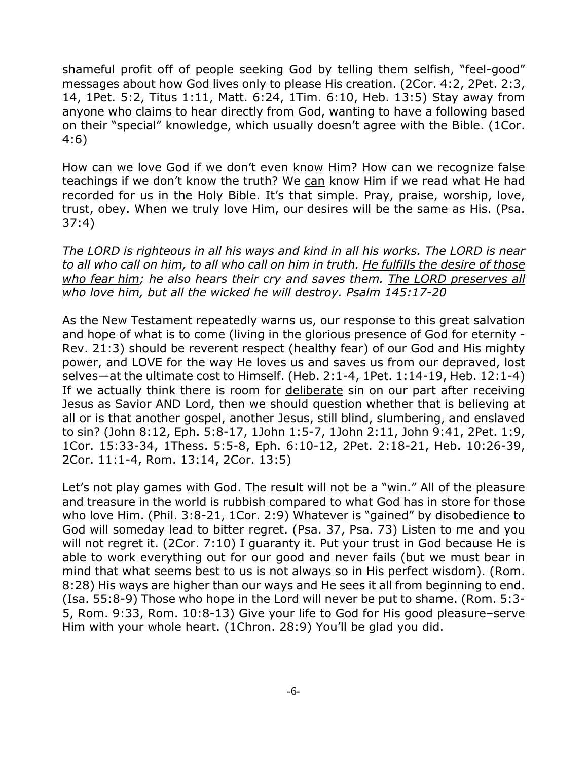shameful profit off of people seeking God by telling them selfish, "feel-good" messages about how God lives only to please His creation. (2Cor. 4:2, 2Pet. 2:3, 14, 1Pet. 5:2, Titus 1:11, Matt. 6:24, 1Tim. 6:10, Heb. 13:5) Stay away from anyone who claims to hear directly from God, wanting to have a following based on their "special" knowledge, which usually doesn't agree with the Bible. (1Cor. 4:6)

How can we love God if we don't even know Him? How can we recognize false teachings if we don't know the truth? We can know Him if we read what He had recorded for us in the Holy Bible. It's that simple. Pray, praise, worship, love, trust, obey. When we truly love Him, our desires will be the same as His. (Psa. 37:4)

*The LORD is righteous in all his ways and kind in all his works. The LORD is near to all who call on him, to all who call on him in truth. He fulfills the desire of those who fear him; he also hears their cry and saves them. The LORD preserves all who love him, but all the wicked he will destroy. Psalm 145:17-20*

As the New Testament repeatedly warns us, our response to this great salvation and hope of what is to come (living in the glorious presence of God for eternity - Rev. 21:3) should be reverent respect (healthy fear) of our God and His mighty power, and LOVE for the way He loves us and saves us from our depraved, lost selves—at the ultimate cost to Himself. (Heb. 2:1-4, 1Pet. 1:14-19, Heb. 12:1-4) If we actually think there is room for deliberate sin on our part after receiving Jesus as Savior AND Lord, then we should question whether that is believing at all or is that another gospel, another Jesus, still blind, slumbering, and enslaved to sin? (John 8:12, Eph. 5:8-17, 1John 1:5-7, 1John 2:11, John 9:41, 2Pet. 1:9, 1Cor. 15:33-34, 1Thess. 5:5-8, Eph. 6:10-12, 2Pet. 2:18-21, Heb. 10:26-39, 2Cor. 11:1-4, Rom. 13:14, 2Cor. 13:5)

Let's not play games with God. The result will not be a "win." All of the pleasure and treasure in the world is rubbish compared to what God has in store for those who love Him. (Phil. 3:8-21, 1Cor. 2:9) Whatever is "gained" by disobedience to God will someday lead to bitter regret. (Psa. 37, Psa. 73) Listen to me and you will not regret it. (2Cor. 7:10) I guaranty it. Put your trust in God because He is able to work everything out for our good and never fails (but we must bear in mind that what seems best to us is not always so in His perfect wisdom). (Rom. 8:28) His ways are higher than our ways and He sees it all from beginning to end. (Isa. 55:8-9) Those who hope in the Lord will never be put to shame. (Rom. 5:3- 5, Rom. 9:33, Rom. 10:8-13) Give your life to God for His good pleasure–serve Him with your whole heart. (1Chron. 28:9) You'll be glad you did.